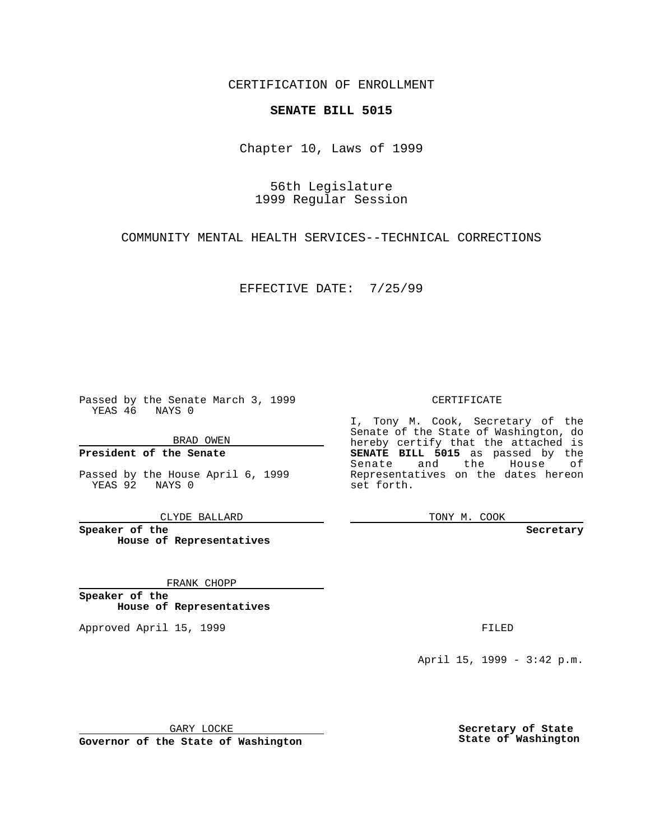CERTIFICATION OF ENROLLMENT

# **SENATE BILL 5015**

Chapter 10, Laws of 1999

56th Legislature 1999 Regular Session

COMMUNITY MENTAL HEALTH SERVICES--TECHNICAL CORRECTIONS

EFFECTIVE DATE: 7/25/99

Passed by the Senate March 3, 1999 YEAS 46 NAYS 0

BRAD OWEN

**President of the Senate**

Passed by the House April 6, 1999 YEAS 92 NAYS 0

CLYDE BALLARD

**Speaker of the House of Representatives**

FRANK CHOPP

**Speaker of the House of Representatives**

Approved April 15, 1999 **FILED** 

### CERTIFICATE

I, Tony M. Cook, Secretary of the Senate of the State of Washington, do hereby certify that the attached is **SENATE BILL 5015** as passed by the Senate and the House of Representatives on the dates hereon set forth.

TONY M. COOK

#### **Secretary**

April 15, 1999 - 3:42 p.m.

GARY LOCKE

**Governor of the State of Washington**

**Secretary of State State of Washington**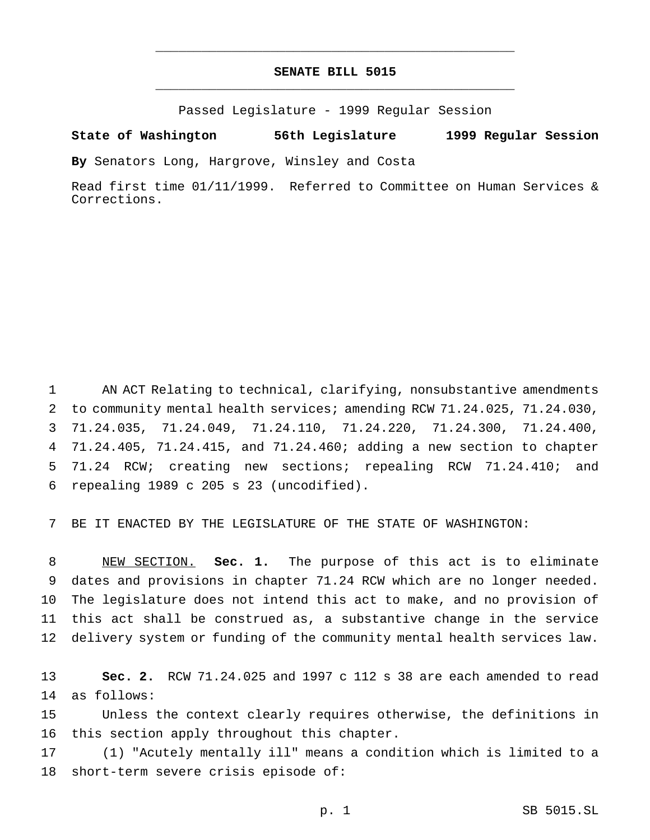## **SENATE BILL 5015** \_\_\_\_\_\_\_\_\_\_\_\_\_\_\_\_\_\_\_\_\_\_\_\_\_\_\_\_\_\_\_\_\_\_\_\_\_\_\_\_\_\_\_\_\_\_\_

\_\_\_\_\_\_\_\_\_\_\_\_\_\_\_\_\_\_\_\_\_\_\_\_\_\_\_\_\_\_\_\_\_\_\_\_\_\_\_\_\_\_\_\_\_\_\_

Passed Legislature - 1999 Regular Session

#### **State of Washington 56th Legislature 1999 Regular Session**

**By** Senators Long, Hargrove, Winsley and Costa

Read first time 01/11/1999. Referred to Committee on Human Services & Corrections.

 AN ACT Relating to technical, clarifying, nonsubstantive amendments to community mental health services; amending RCW 71.24.025, 71.24.030, 71.24.035, 71.24.049, 71.24.110, 71.24.220, 71.24.300, 71.24.400, 71.24.405, 71.24.415, and 71.24.460; adding a new section to chapter 71.24 RCW; creating new sections; repealing RCW 71.24.410; and repealing 1989 c 205 s 23 (uncodified).

BE IT ENACTED BY THE LEGISLATURE OF THE STATE OF WASHINGTON:

 NEW SECTION. **Sec. 1.** The purpose of this act is to eliminate dates and provisions in chapter 71.24 RCW which are no longer needed. The legislature does not intend this act to make, and no provision of this act shall be construed as, a substantive change in the service delivery system or funding of the community mental health services law.

 **Sec. 2.** RCW 71.24.025 and 1997 c 112 s 38 are each amended to read as follows:

 Unless the context clearly requires otherwise, the definitions in this section apply throughout this chapter.

 (1) "Acutely mentally ill" means a condition which is limited to a short-term severe crisis episode of: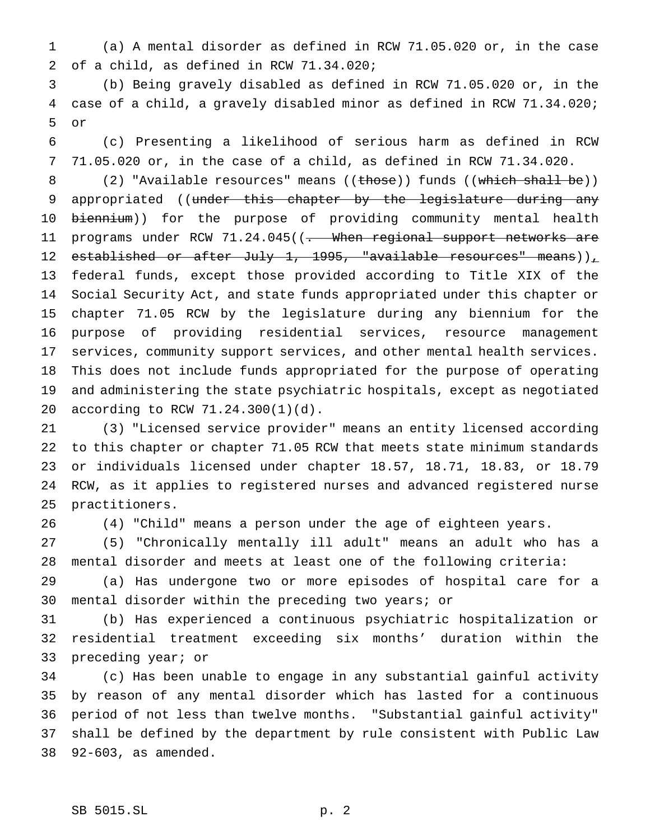(a) A mental disorder as defined in RCW 71.05.020 or, in the case of a child, as defined in RCW 71.34.020;

 (b) Being gravely disabled as defined in RCW 71.05.020 or, in the case of a child, a gravely disabled minor as defined in RCW 71.34.020; or

 (c) Presenting a likelihood of serious harm as defined in RCW 71.05.020 or, in the case of a child, as defined in RCW 71.34.020.

8 (2) "Available resources" means ((those)) funds ((which shall be)) 9 appropriated ((under this chapter by the legislature during any 10 biennium)) for the purpose of providing community mental health 11 programs under RCW 71.24.045((<del>. When regional support networks are</del> 12 established or after July 1, 1995, "available resources" means)), federal funds, except those provided according to Title XIX of the Social Security Act, and state funds appropriated under this chapter or chapter 71.05 RCW by the legislature during any biennium for the purpose of providing residential services, resource management services, community support services, and other mental health services. This does not include funds appropriated for the purpose of operating and administering the state psychiatric hospitals, except as negotiated according to RCW 71.24.300(1)(d).

 (3) "Licensed service provider" means an entity licensed according to this chapter or chapter 71.05 RCW that meets state minimum standards or individuals licensed under chapter 18.57, 18.71, 18.83, or 18.79 RCW, as it applies to registered nurses and advanced registered nurse practitioners.

(4) "Child" means a person under the age of eighteen years.

 (5) "Chronically mentally ill adult" means an adult who has a mental disorder and meets at least one of the following criteria:

 (a) Has undergone two or more episodes of hospital care for a mental disorder within the preceding two years; or

 (b) Has experienced a continuous psychiatric hospitalization or residential treatment exceeding six months' duration within the preceding year; or

 (c) Has been unable to engage in any substantial gainful activity by reason of any mental disorder which has lasted for a continuous period of not less than twelve months. "Substantial gainful activity" shall be defined by the department by rule consistent with Public Law 92-603, as amended.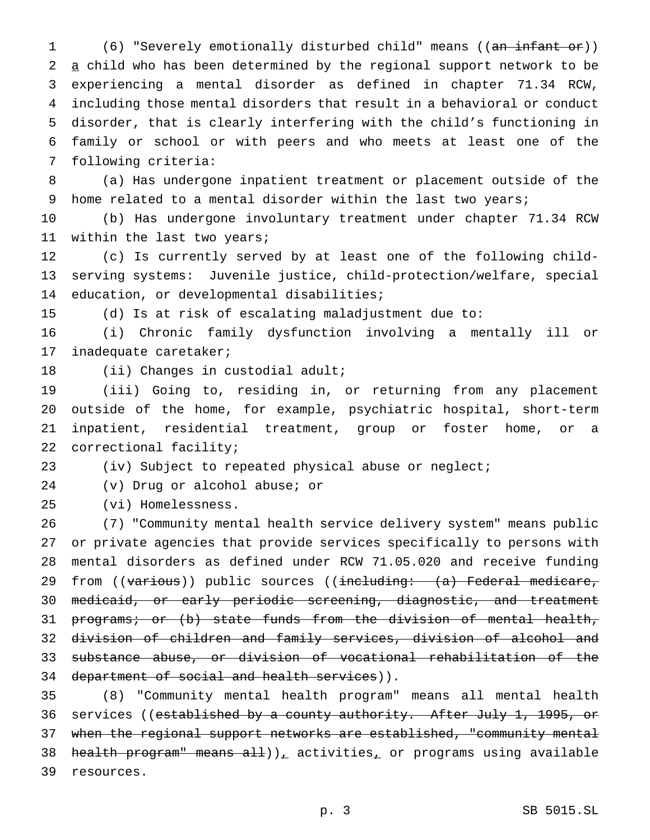(6) "Severely emotionally disturbed child" means ((an infant or)) a child who has been determined by the regional support network to be experiencing a mental disorder as defined in chapter 71.34 RCW, including those mental disorders that result in a behavioral or conduct disorder, that is clearly interfering with the child's functioning in family or school or with peers and who meets at least one of the following criteria:

 (a) Has undergone inpatient treatment or placement outside of the 9 home related to a mental disorder within the last two years;

 (b) Has undergone involuntary treatment under chapter 71.34 RCW within the last two years;

 (c) Is currently served by at least one of the following child- serving systems: Juvenile justice, child-protection/welfare, special education, or developmental disabilities;

(d) Is at risk of escalating maladjustment due to:

 (i) Chronic family dysfunction involving a mentally ill or inadequate caretaker;

(ii) Changes in custodial adult;

 (iii) Going to, residing in, or returning from any placement outside of the home, for example, psychiatric hospital, short-term inpatient, residential treatment, group or foster home, or a correctional facility;

(iv) Subject to repeated physical abuse or neglect;

(v) Drug or alcohol abuse; or

(vi) Homelessness.

 (7) "Community mental health service delivery system" means public or private agencies that provide services specifically to persons with mental disorders as defined under RCW 71.05.020 and receive funding 29 from ((various)) public sources ((including: (a) Federal medicare, medicaid, or early periodic screening, diagnostic, and treatment 31 programs; or (b) state funds from the division of mental health, division of children and family services, division of alcohol and substance abuse, or division of vocational rehabilitation of the 34 department of social and health services)).

 (8) "Community mental health program" means all mental health 36 services ((e<del>stablished by a county authority. After July 1, 1995, or</del> when the regional support networks are established, "community mental 38 health program" means all)), activities, or programs using available resources.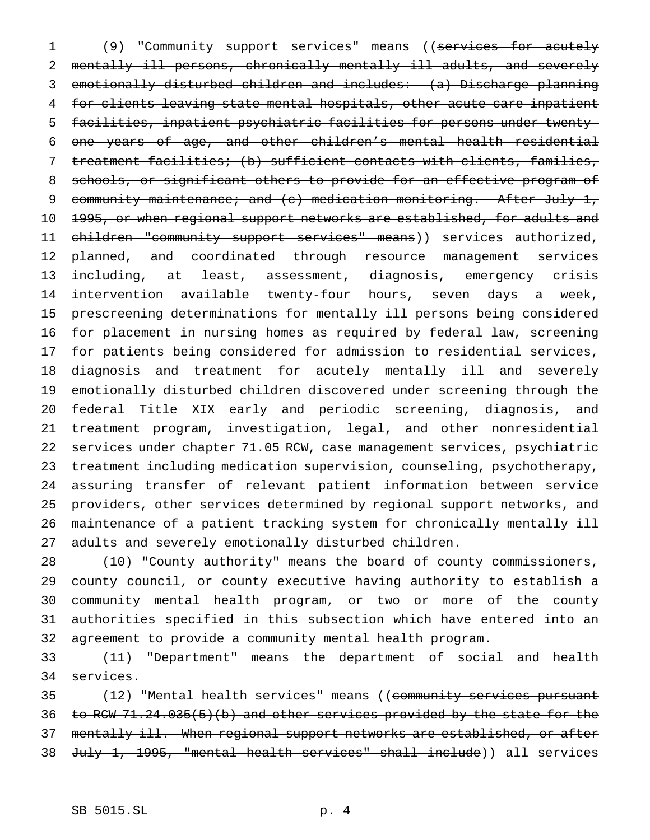1 (9) "Community support services" means ((services for acutely mentally ill persons, chronically mentally ill adults, and severely emotionally disturbed children and includes: (a) Discharge planning for clients leaving state mental hospitals, other acute care inpatient facilities, inpatient psychiatric facilities for persons under twenty- one years of age, and other children's mental health residential treatment facilities; (b) sufficient contacts with clients, families, schools, or significant others to provide for an effective program of 9 community maintenance; and (c) medication monitoring. After July 1, 10 <del>1995, or when regional support networks are established, for adults and</del> 11 children "community support services" means)) services authorized, planned, and coordinated through resource management services including, at least, assessment, diagnosis, emergency crisis intervention available twenty-four hours, seven days a week, prescreening determinations for mentally ill persons being considered for placement in nursing homes as required by federal law, screening for patients being considered for admission to residential services, diagnosis and treatment for acutely mentally ill and severely emotionally disturbed children discovered under screening through the federal Title XIX early and periodic screening, diagnosis, and treatment program, investigation, legal, and other nonresidential services under chapter 71.05 RCW, case management services, psychiatric treatment including medication supervision, counseling, psychotherapy, assuring transfer of relevant patient information between service providers, other services determined by regional support networks, and maintenance of a patient tracking system for chronically mentally ill adults and severely emotionally disturbed children.

 (10) "County authority" means the board of county commissioners, county council, or county executive having authority to establish a community mental health program, or two or more of the county authorities specified in this subsection which have entered into an agreement to provide a community mental health program.

 (11) "Department" means the department of social and health services.

35 (12) "Mental health services" means ((community services pursuant to RCW 71.24.035(5)(b) and other services provided by the state for the 37 mentally ill. When regional support networks are established, or after July 1, 1995, "mental health services" shall include)) all services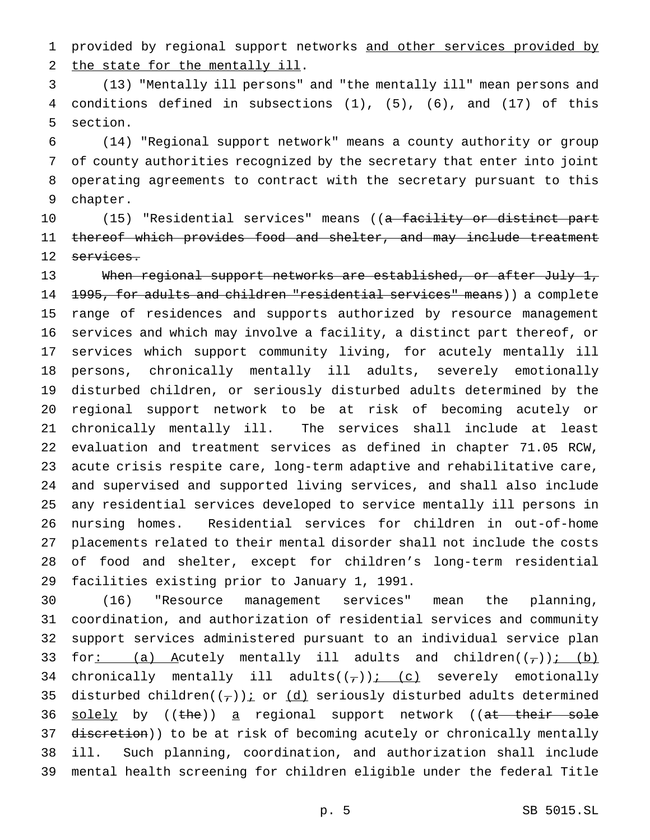1 provided by regional support networks and other services provided by the state for the mentally ill.

 (13) "Mentally ill persons" and "the mentally ill" mean persons and conditions defined in subsections (1), (5), (6), and (17) of this section.

 (14) "Regional support network" means a county authority or group of county authorities recognized by the secretary that enter into joint operating agreements to contract with the secretary pursuant to this chapter.

10 (15) "Residential services" means ((<del>a facility or distinct part</del> thereof which provides food and shelter, and may include treatment 12 services.

13 When regional support networks are established, or after July 1, 14 1995, for adults and children "residential services" means)) a complete range of residences and supports authorized by resource management services and which may involve a facility, a distinct part thereof, or services which support community living, for acutely mentally ill persons, chronically mentally ill adults, severely emotionally disturbed children, or seriously disturbed adults determined by the regional support network to be at risk of becoming acutely or chronically mentally ill. The services shall include at least evaluation and treatment services as defined in chapter 71.05 RCW, acute crisis respite care, long-term adaptive and rehabilitative care, and supervised and supported living services, and shall also include any residential services developed to service mentally ill persons in nursing homes. Residential services for children in out-of-home placements related to their mental disorder shall not include the costs of food and shelter, except for children's long-term residential facilities existing prior to January 1, 1991.

 (16) "Resource management services" mean the planning, coordination, and authorization of residential services and community support services administered pursuant to an individual service plan 33 for: (a) Acutely mentally ill adults and children $((-))$ : (b) 34 chronically mentally ill adults( $(\tau)$ ); (c) severely emotionally 35 disturbed children( $(\tau)$ ) *i* or  $(d)$  seriously disturbed adults determined 36 solely by ((the)) a regional support network ((at their sole 37 discretion)) to be at risk of becoming acutely or chronically mentally ill. Such planning, coordination, and authorization shall include mental health screening for children eligible under the federal Title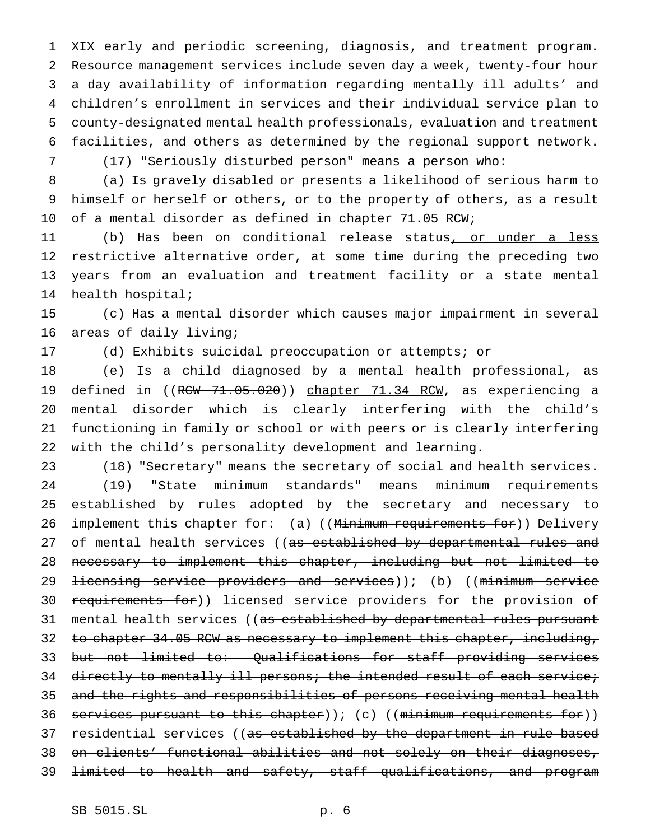XIX early and periodic screening, diagnosis, and treatment program. Resource management services include seven day a week, twenty-four hour a day availability of information regarding mentally ill adults' and children's enrollment in services and their individual service plan to county-designated mental health professionals, evaluation and treatment facilities, and others as determined by the regional support network.

7 (17) "Seriously disturbed person" means a person who:

8 (a) Is gravely disabled or presents a likelihood of serious harm to 9 himself or herself or others, or to the property of others, as a result 10 of a mental disorder as defined in chapter 71.05 RCW;

11 (b) Has been on conditional release status, or under a less 12 restrictive alternative order, at some time during the preceding two 13 years from an evaluation and treatment facility or a state mental 14 health hospital;

15 (c) Has a mental disorder which causes major impairment in several 16 areas of daily living;

17 (d) Exhibits suicidal preoccupation or attempts; or

 (e) Is a child diagnosed by a mental health professional, as 19 defined in ((RCW 71.05.020)) chapter 71.34 RCM, as experiencing a mental disorder which is clearly interfering with the child's functioning in family or school or with peers or is clearly interfering with the child's personality development and learning.

23 (18) "Secretary" means the secretary of social and health services. 24 (19) "State minimum standards" means minimum requirements 25 established by rules adopted by the secretary and necessary to 26 implement this chapter for: (a) ((Minimum requirements for)) Delivery 27 of mental health services ((as established by departmental rules and 28 necessary to implement this chapter, including but not limited to 29 <del>licensing service providers and services</del>)); (b) ((minimum service 30 requirements for)) licensed service providers for the provision of 31 mental health services ((as established by departmental rules pursuant 32 to chapter 34.05 RCW as necessary to implement this chapter, including, 33 but not limited to: Qualifications for staff providing services 34 directly to mentally ill persons; the intended result of each service; 35 and the rights and responsibilities of persons receiving mental health 36 services pursuant to this chapter) ); (c) ((minimum requirements for)) 37 residential services ((as established by the department in rule based 38 on clients' functional abilities and not solely on their diagnoses, 39 limited to health and safety, staff qualifications, and program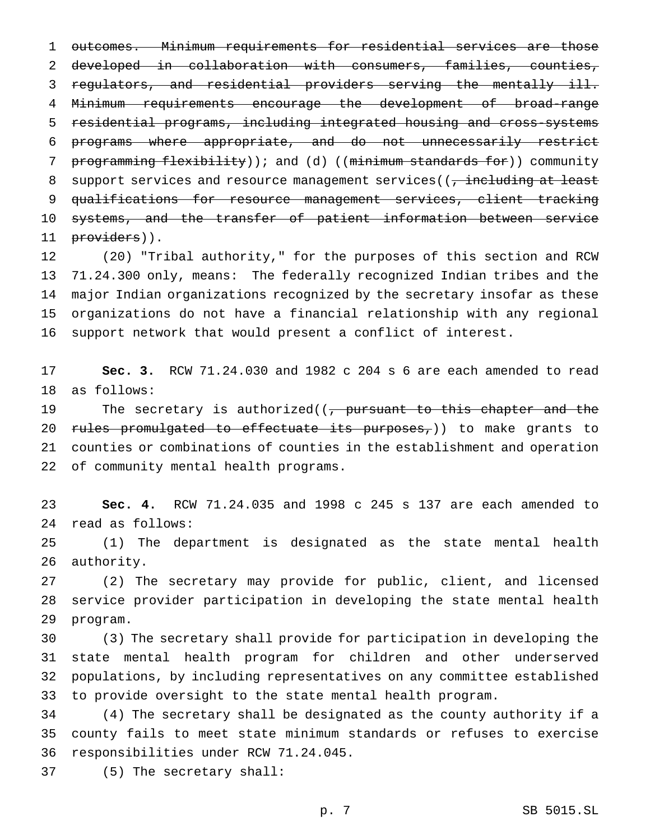outcomes. Minimum requirements for residential services are those developed in collaboration with consumers, families, counties, regulators, and residential providers serving the mentally ill. Minimum requirements encourage the development of broad-range residential programs, including integrated housing and cross-systems programs where appropriate, and do not unnecessarily restrict 7 programming flexibility)); and (d) ((minimum standards for)) community 8 support services and resource management services((, including at least qualifications for resource management services, client tracking 10 systems, and the transfer of patient information between service 11 providers)).

 (20) "Tribal authority," for the purposes of this section and RCW 71.24.300 only, means: The federally recognized Indian tribes and the major Indian organizations recognized by the secretary insofar as these organizations do not have a financial relationship with any regional support network that would present a conflict of interest.

 **Sec. 3.** RCW 71.24.030 and 1982 c 204 s 6 are each amended to read as follows:

19 The secretary is authorized((, pursuant to this chapter and the 20 rules promulgated to effectuate its purposes,)) to make grants to counties or combinations of counties in the establishment and operation of community mental health programs.

 **Sec. 4.** RCW 71.24.035 and 1998 c 245 s 137 are each amended to read as follows:

 (1) The department is designated as the state mental health authority.

 (2) The secretary may provide for public, client, and licensed service provider participation in developing the state mental health program.

 (3) The secretary shall provide for participation in developing the state mental health program for children and other underserved populations, by including representatives on any committee established to provide oversight to the state mental health program.

 (4) The secretary shall be designated as the county authority if a county fails to meet state minimum standards or refuses to exercise responsibilities under RCW 71.24.045.

(5) The secretary shall:

p. 7 SB 5015.SL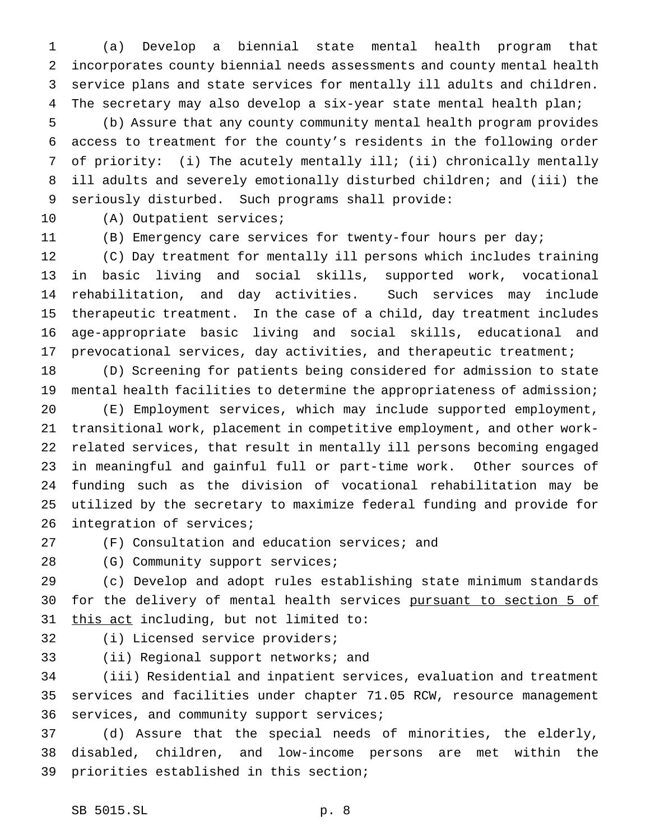(a) Develop a biennial state mental health program that incorporates county biennial needs assessments and county mental health service plans and state services for mentally ill adults and children. The secretary may also develop a six-year state mental health plan;

 (b) Assure that any county community mental health program provides access to treatment for the county's residents in the following order of priority: (i) The acutely mentally ill; (ii) chronically mentally ill adults and severely emotionally disturbed children; and (iii) the seriously disturbed. Such programs shall provide:

(A) Outpatient services;

(B) Emergency care services for twenty-four hours per day;

 (C) Day treatment for mentally ill persons which includes training in basic living and social skills, supported work, vocational rehabilitation, and day activities. Such services may include therapeutic treatment. In the case of a child, day treatment includes age-appropriate basic living and social skills, educational and prevocational services, day activities, and therapeutic treatment;

 (D) Screening for patients being considered for admission to state mental health facilities to determine the appropriateness of admission;

 (E) Employment services, which may include supported employment, transitional work, placement in competitive employment, and other work- related services, that result in mentally ill persons becoming engaged in meaningful and gainful full or part-time work. Other sources of funding such as the division of vocational rehabilitation may be utilized by the secretary to maximize federal funding and provide for 26 integration of services;

(F) Consultation and education services; and

28 (G) Community support services;

 (c) Develop and adopt rules establishing state minimum standards 30 for the delivery of mental health services pursuant to section 5 of 31 this act including, but not limited to:

(i) Licensed service providers;

(ii) Regional support networks; and

 (iii) Residential and inpatient services, evaluation and treatment services and facilities under chapter 71.05 RCW, resource management services, and community support services;

 (d) Assure that the special needs of minorities, the elderly, disabled, children, and low-income persons are met within the priorities established in this section;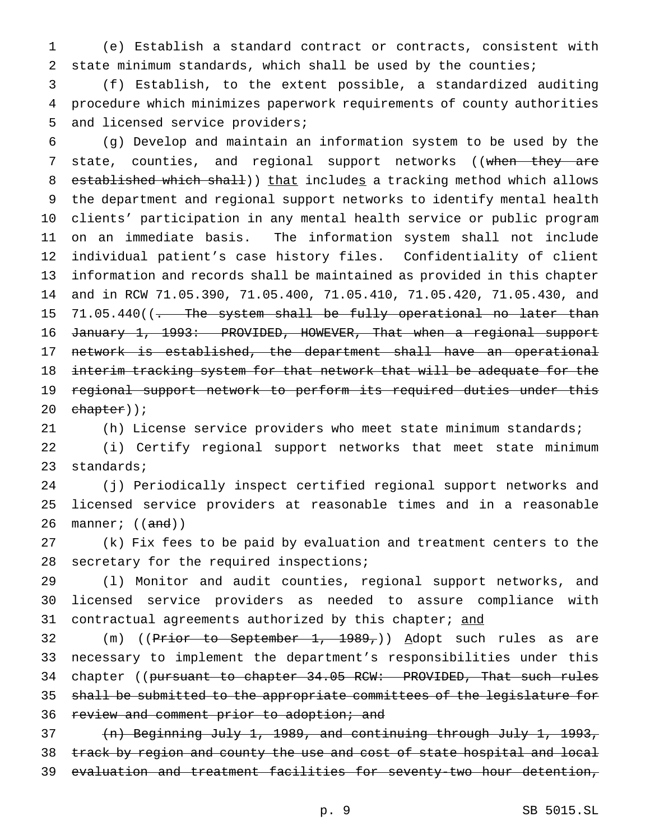(e) Establish a standard contract or contracts, consistent with state minimum standards, which shall be used by the counties;

 (f) Establish, to the extent possible, a standardized auditing procedure which minimizes paperwork requirements of county authorities and licensed service providers;

 (g) Develop and maintain an information system to be used by the 7 state, counties, and regional support networks ((when they are 8 established which shall)) that includes a tracking method which allows the department and regional support networks to identify mental health clients' participation in any mental health service or public program on an immediate basis. The information system shall not include individual patient's case history files. Confidentiality of client information and records shall be maintained as provided in this chapter and in RCW 71.05.390, 71.05.400, 71.05.410, 71.05.420, 71.05.430, and 15 71.05.440((- The system shall be fully operational no later than 16 January 1, 1993: PROVIDED, HOWEVER, That when a regional support network is established, the department shall have an operational 18 interim tracking system for that network that will be adequate for the regional support network to perform its required duties under this  $chapter)$ ;

(h) License service providers who meet state minimum standards;

 (i) Certify regional support networks that meet state minimum standards;

 (j) Periodically inspect certified regional support networks and licensed service providers at reasonable times and in a reasonable 26 manner;  $((and))$ 

 (k) Fix fees to be paid by evaluation and treatment centers to the 28 secretary for the required inspections;

 (l) Monitor and audit counties, regional support networks, and licensed service providers as needed to assure compliance with 31 contractual agreements authorized by this chapter; and

32 (m) ((Prior to September 1, 1989,)) Adopt such rules as are necessary to implement the department's responsibilities under this 34 chapter ((pursuant to chapter 34.05 RCW: PROVIDED, That such rules shall be submitted to the appropriate committees of the legislature for 36 review and comment prior to adoption; and

 (n) Beginning July 1, 1989, and continuing through July 1, 1993, 38 track by region and county the use and cost of state hospital and local evaluation and treatment facilities for seventy-two hour detention,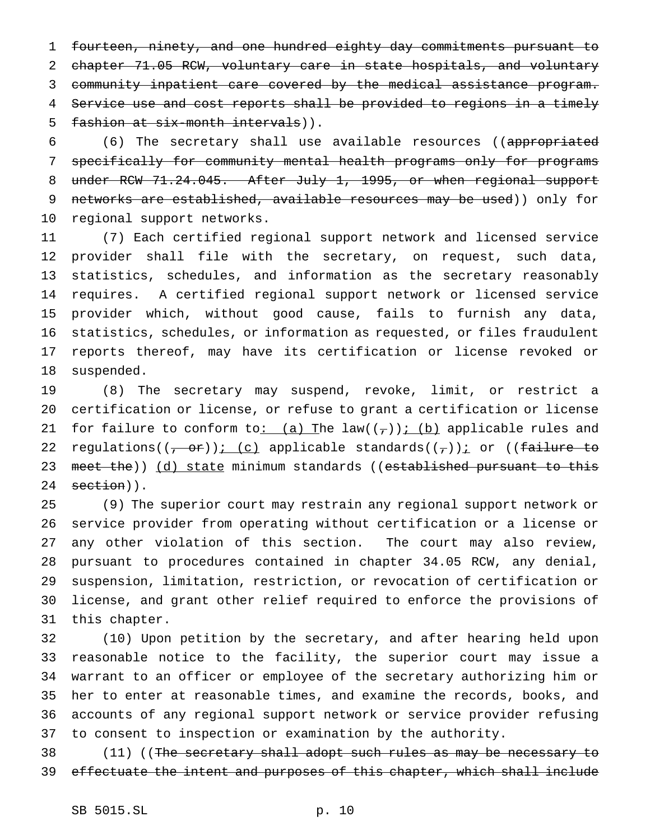fourteen, ninety, and one hundred eighty day commitments pursuant to chapter 71.05 RCW, voluntary care in state hospitals, and voluntary community inpatient care covered by the medical assistance program. Service use and cost reports shall be provided to regions in a timely fashion at six-month intervals)).

 (6) The secretary shall use available resources ((appropriated specifically for community mental health programs only for programs 8 under RCW 71.24.045. After July 1, 1995, or when regional support 9 networks are established, available resources may be used)) only for regional support networks.

 (7) Each certified regional support network and licensed service provider shall file with the secretary, on request, such data, statistics, schedules, and information as the secretary reasonably requires. A certified regional support network or licensed service provider which, without good cause, fails to furnish any data, statistics, schedules, or information as requested, or files fraudulent reports thereof, may have its certification or license revoked or suspended.

 (8) The secretary may suspend, revoke, limit, or restrict a certification or license, or refuse to grant a certification or license 21 for failure to conform to: (a) The law( $(\tau)$ ); (b) applicable rules and 22 regulations((<del>, or</del>)); (c) applicable standards(( $_{\tau}$ ))<u>;</u> or ((failure to 23 meet the)) (d) state minimum standards ((established pursuant to this 24 section)).

 (9) The superior court may restrain any regional support network or service provider from operating without certification or a license or any other violation of this section. The court may also review, pursuant to procedures contained in chapter 34.05 RCW, any denial, suspension, limitation, restriction, or revocation of certification or license, and grant other relief required to enforce the provisions of this chapter.

 (10) Upon petition by the secretary, and after hearing held upon reasonable notice to the facility, the superior court may issue a warrant to an officer or employee of the secretary authorizing him or her to enter at reasonable times, and examine the records, books, and accounts of any regional support network or service provider refusing to consent to inspection or examination by the authority.

38 (11) ((The secretary shall adopt such rules as may be necessary to 39 effectuate the intent and purposes of this chapter, which shall include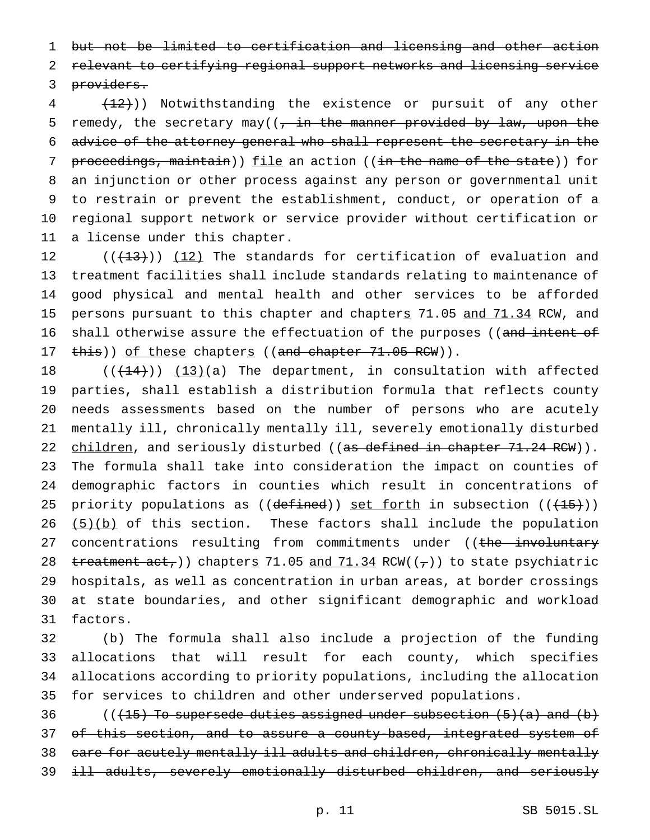1 but not be limited to certification and licensing and other action

2 relevant to certifying regional support networks and licensing service

3 providers.

4 (12))) Notwithstanding the existence or pursuit of any other 5 remedy, the secretary may( $\frac{1}{2}$  in the manner provided by law, upon the 6 advice of the attorney general who shall represent the secretary in the 7 proceedings, maintain)) file an action ((in the name of the state)) for 8 an injunction or other process against any person or governmental unit 9 to restrain or prevent the establishment, conduct, or operation of a 10 regional support network or service provider without certification or 11 a license under this chapter.

12  $((+13))$   $(12)$  The standards for certification of evaluation and 13 treatment facilities shall include standards relating to maintenance of 14 good physical and mental health and other services to be afforded 15 persons pursuant to this chapter and chapters 71.05 and 71.34 RCW, and 16 shall otherwise assure the effectuation of the purposes ((and intent of 17 this)) of these chapters ((and chapter 71.05 RCW)).

 $((+44))$   $(13)(a)$  The department, in consultation with affected parties, shall establish a distribution formula that reflects county needs assessments based on the number of persons who are acutely mentally ill, chronically mentally ill, severely emotionally disturbed 22 children, and seriously disturbed ((as defined in chapter 71.24 RCW)). The formula shall take into consideration the impact on counties of demographic factors in counties which result in concentrations of 25 priority populations as (( $defined$ )) set forth in subsection (( $+15$ )))  $(5)(b)$  of this section. These factors shall include the population 27 concentrations resulting from commitments under ((the involuntary 28 treatment  $act$ )) chapters 71.05 and 71.34 RCW(( $\tau$ )) to state psychiatric hospitals, as well as concentration in urban areas, at border crossings at state boundaries, and other significant demographic and workload 31 factors.

 (b) The formula shall also include a projection of the funding allocations that will result for each county, which specifies allocations according to priority populations, including the allocation for services to children and other underserved populations.

36 (( $(15)$  To supersede duties assigned under subsection  $(5)(a)$  and  $(b)$ 37 of this section, and to assure a county-based, integrated system of 38 care for acutely mentally ill adults and children, chronically mentally 39 ill adults, severely emotionally disturbed children, and seriously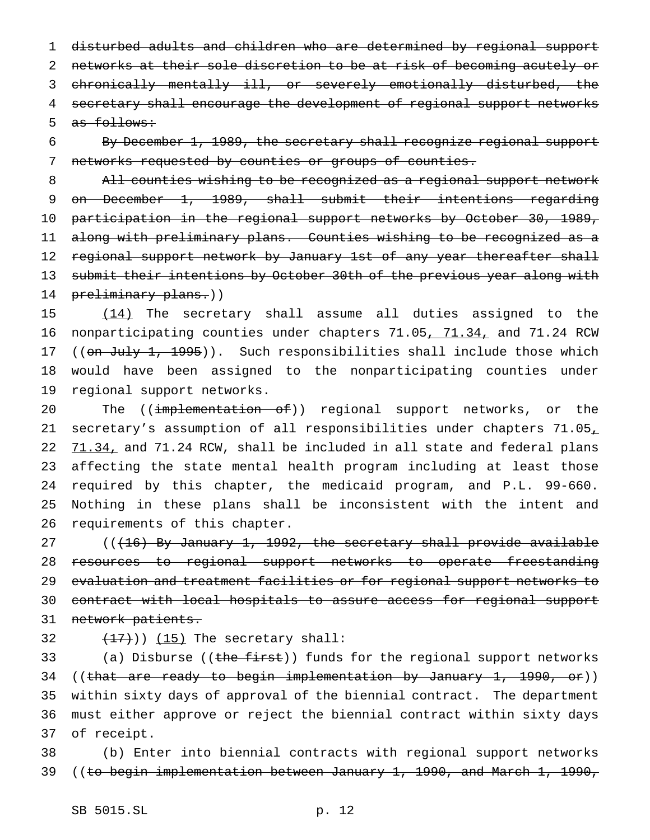disturbed adults and children who are determined by regional support networks at their sole discretion to be at risk of becoming acutely or chronically mentally ill, or severely emotionally disturbed, the secretary shall encourage the development of regional support networks as follows:

6 By December 1, 1989, the secretary shall recognize regional support 7 networks requested by counties or groups of counties.

8 All counties wishing to be recognized as a regional support network 9 on December 1, 1989, shall submit their intentions regarding 10 participation in the regional support networks by October 30, 1989, 11 along with preliminary plans. Counties wishing to be recognized as a 12 regional support network by January 1st of any year thereafter shall 13 submit their intentions by October 30th of the previous year along with 14 preliminary plans.))

15 (14) The secretary shall assume all duties assigned to the 16 nonparticipating counties under chapters 71.05, 71.34, and 71.24 RCW 17 ((on July 1, 1995)). Such responsibilities shall include those which 18 would have been assigned to the nonparticipating counties under 19 regional support networks.

20 The ((implementation of)) regional support networks, or the 21 secretary's assumption of all responsibilities under chapters 71.05, 22 71.34, and 71.24 RCW, shall be included in all state and federal plans 23 affecting the state mental health program including at least those 24 required by this chapter, the medicaid program, and P.L. 99-660. 25 Nothing in these plans shall be inconsistent with the intent and 26 requirements of this chapter.

27  $((16)$  By January 1, 1992, the secretary shall provide available 28 resources to regional support networks to operate freestanding 29 evaluation and treatment facilities or for regional support networks to 30 contract with local hospitals to assure access for regional support 31 network patients.

32  $(17)$ ))  $(15)$  The secretary shall:

33 (a) Disburse ((the first)) funds for the regional support networks 34 ((that are ready to begin implementation by January 1, 1990, or)) 35 within sixty days of approval of the biennial contract. The department 36 must either approve or reject the biennial contract within sixty days 37 of receipt.

38 (b) Enter into biennial contracts with regional support networks 39 ((to begin implementation between January 1, 1990, and March 1, 1990,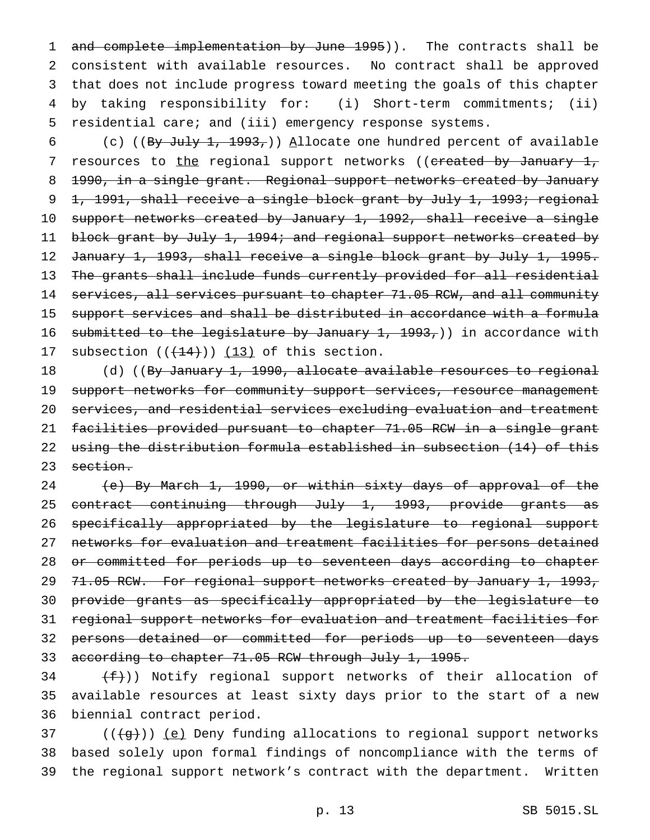1 and complete implementation by June 1995)). The contracts shall be consistent with available resources. No contract shall be approved that does not include progress toward meeting the goals of this chapter by taking responsibility for: (i) Short-term commitments; (ii) residential care; and (iii) emergency response systems.

6 (c) ((By July 1, 1993,)) Allocate one hundred percent of available 7 resources to the regional support networks ((created by January 1, 8 1990, in a single grant. Regional support networks created by January 9 1, 1991, shall receive a single block grant by July 1, 1993; regional 10 support networks created by January 1, 1992, shall receive a single 11 block grant by July 1, 1994; and regional support networks created by 12 January 1, 1993, shall receive a single block grant by July 1, 1995. 13 The grants shall include funds currently provided for all residential 14 services, all services pursuant to chapter 71.05 RCW, and all community 15 support services and shall be distributed in accordance with a formula 16 submitted to the legislature by January 1, 1993,)) in accordance with 17 subsection  $((+14))$   $(13)$  of this section.

18 (d) ((By January 1, 1990, allocate available resources to regional 19 support networks for community support services, resource management 20 services, and residential services excluding evaluation and treatment 21 facilities provided pursuant to chapter 71.05 RCW in a single grant 22 using the distribution formula established in subsection (14) of this 23 section.

 (e) By March 1, 1990, or within sixty days of approval of the 25 contract continuing through July 1, 1993, provide grants as specifically appropriated by the legislature to regional support networks for evaluation and treatment facilities for persons detained or committed for periods up to seventeen days according to chapter 29 71.05 RCW. For regional support networks created by January 1, 1993, provide grants as specifically appropriated by the legislature to regional support networks for evaluation and treatment facilities for persons detained or committed for periods up to seventeen days 33 according to chapter 71.05 RCW through July 1, 1995.

 $(34 + f)$ ) Notify regional support networks of their allocation of 35 available resources at least sixty days prior to the start of a new 36 biennial contract period.

 $37$  (( $\left(\frac{1}{9}\right)$ ) <u>(e)</u> Deny funding allocations to regional support networks 38 based solely upon formal findings of noncompliance with the terms of 39 the regional support network's contract with the department. Written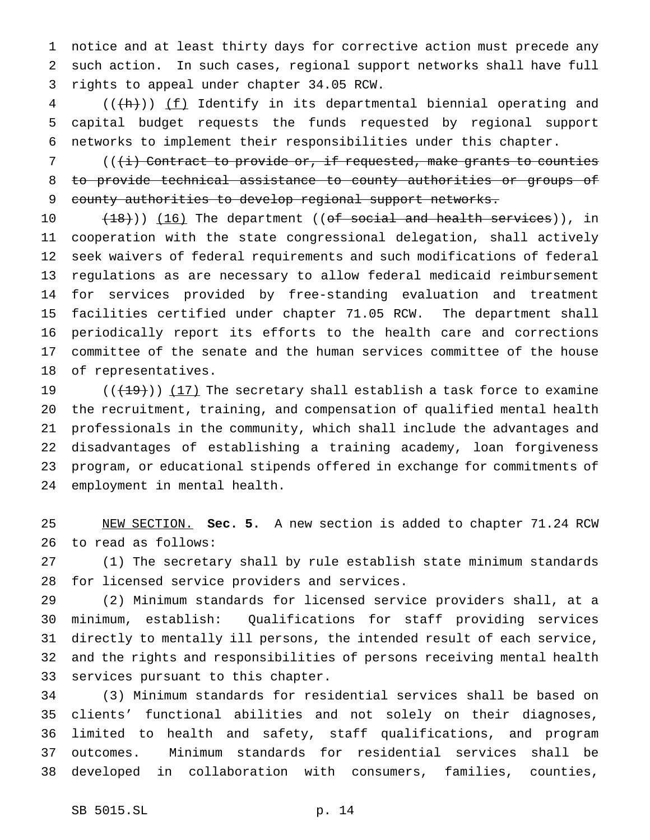notice and at least thirty days for corrective action must precede any such action. In such cases, regional support networks shall have full rights to appeal under chapter 34.05 RCW.

 (( $\frac{h}{h}$ )) <u>(f)</u> Identify in its departmental biennial operating and capital budget requests the funds requested by regional support networks to implement their responsibilities under this chapter.

 (( $\overline{t}$ ) Contract to provide or, if requested, make grants to counties to provide technical assistance to county authorities or groups of county authorities to develop regional support networks.

10 (18))) (16) The department ((of social and health services)), in cooperation with the state congressional delegation, shall actively seek waivers of federal requirements and such modifications of federal regulations as are necessary to allow federal medicaid reimbursement for services provided by free-standing evaluation and treatment facilities certified under chapter 71.05 RCW. The department shall periodically report its efforts to the health care and corrections committee of the senate and the human services committee of the house of representatives.

 $((+19))$   $(17)$  The secretary shall establish a task force to examine the recruitment, training, and compensation of qualified mental health professionals in the community, which shall include the advantages and disadvantages of establishing a training academy, loan forgiveness program, or educational stipends offered in exchange for commitments of employment in mental health.

 NEW SECTION. **Sec. 5.** A new section is added to chapter 71.24 RCW to read as follows:

 (1) The secretary shall by rule establish state minimum standards for licensed service providers and services.

 (2) Minimum standards for licensed service providers shall, at a minimum, establish: Qualifications for staff providing services directly to mentally ill persons, the intended result of each service, and the rights and responsibilities of persons receiving mental health services pursuant to this chapter.

 (3) Minimum standards for residential services shall be based on clients' functional abilities and not solely on their diagnoses, limited to health and safety, staff qualifications, and program outcomes. Minimum standards for residential services shall be developed in collaboration with consumers, families, counties,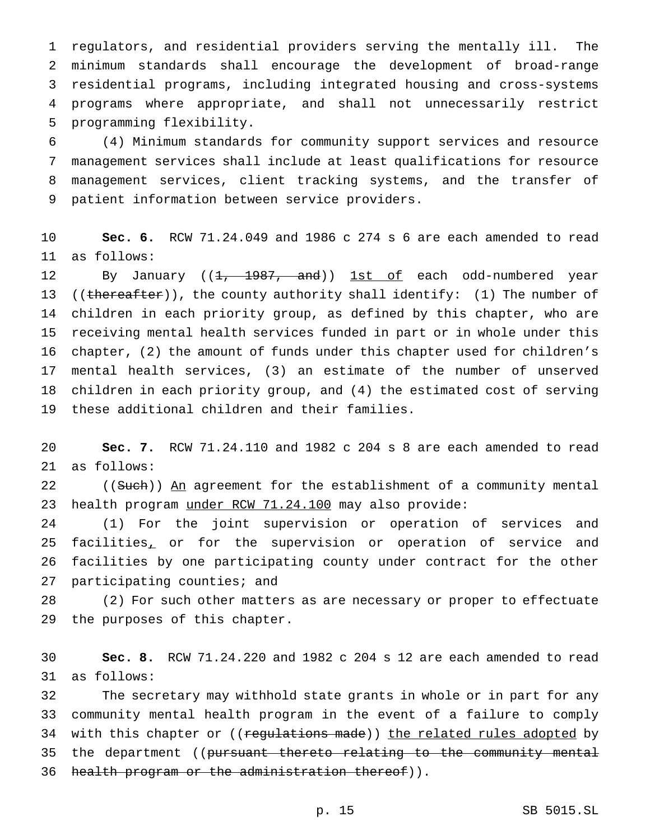regulators, and residential providers serving the mentally ill. The minimum standards shall encourage the development of broad-range residential programs, including integrated housing and cross-systems programs where appropriate, and shall not unnecessarily restrict programming flexibility.

 (4) Minimum standards for community support services and resource management services shall include at least qualifications for resource management services, client tracking systems, and the transfer of patient information between service providers.

 **Sec. 6.** RCW 71.24.049 and 1986 c 274 s 6 are each amended to read as follows:

12 By January ((1, 1987, and)) 1st of each odd-numbered year 13 ((thereafter)), the county authority shall identify: (1) The number of children in each priority group, as defined by this chapter, who are receiving mental health services funded in part or in whole under this chapter, (2) the amount of funds under this chapter used for children's mental health services, (3) an estimate of the number of unserved children in each priority group, and (4) the estimated cost of serving these additional children and their families.

 **Sec. 7.** RCW 71.24.110 and 1982 c 204 s 8 are each amended to read as follows:

22 ((Such)) An agreement for the establishment of a community mental 23 health program under RCW 71.24.100 may also provide:

 (1) For the joint supervision or operation of services and 25 facilities, or for the supervision or operation of service and facilities by one participating county under contract for the other participating counties; and

 (2) For such other matters as are necessary or proper to effectuate the purposes of this chapter.

 **Sec. 8.** RCW 71.24.220 and 1982 c 204 s 12 are each amended to read as follows:

 The secretary may withhold state grants in whole or in part for any community mental health program in the event of a failure to comply 34 with this chapter or ((regulations made)) the related rules adopted by 35 the department ((pursuant thereto relating to the community mental 36 health program or the administration thereof)).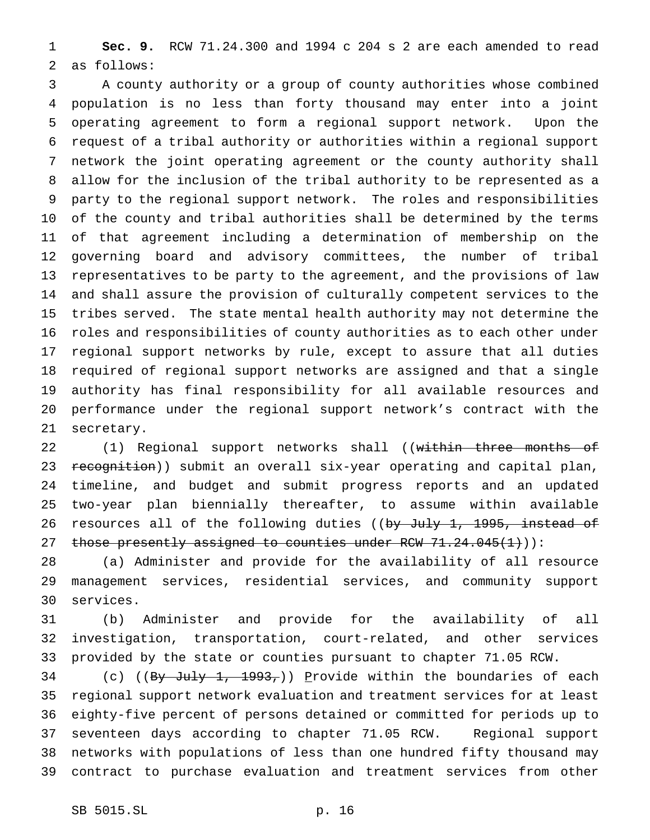**Sec. 9.** RCW 71.24.300 and 1994 c 204 s 2 are each amended to read as follows:

 A county authority or a group of county authorities whose combined population is no less than forty thousand may enter into a joint operating agreement to form a regional support network. Upon the request of a tribal authority or authorities within a regional support network the joint operating agreement or the county authority shall allow for the inclusion of the tribal authority to be represented as a party to the regional support network. The roles and responsibilities of the county and tribal authorities shall be determined by the terms of that agreement including a determination of membership on the governing board and advisory committees, the number of tribal representatives to be party to the agreement, and the provisions of law and shall assure the provision of culturally competent services to the tribes served. The state mental health authority may not determine the roles and responsibilities of county authorities as to each other under regional support networks by rule, except to assure that all duties required of regional support networks are assigned and that a single authority has final responsibility for all available resources and performance under the regional support network's contract with the secretary.

22 (1) Regional support networks shall ((within three months of 23 recognition)) submit an overall six-year operating and capital plan, timeline, and budget and submit progress reports and an updated two-year plan biennially thereafter, to assume within available 26 resources all of the following duties ((by July 1, 1995, instead of 27 those presently assigned to counties under RCW  $71.24.045(1)$ ):

 (a) Administer and provide for the availability of all resource management services, residential services, and community support services.

 (b) Administer and provide for the availability of all investigation, transportation, court-related, and other services provided by the state or counties pursuant to chapter 71.05 RCW.

34 (c) ((By July 1, 1993,)) Provide within the boundaries of each regional support network evaluation and treatment services for at least eighty-five percent of persons detained or committed for periods up to seventeen days according to chapter 71.05 RCW. Regional support networks with populations of less than one hundred fifty thousand may contract to purchase evaluation and treatment services from other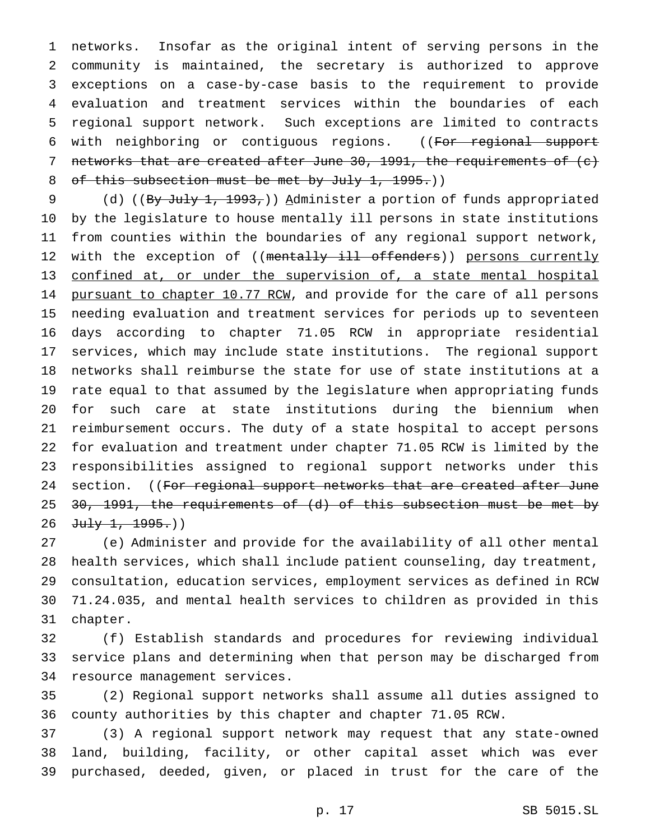networks. Insofar as the original intent of serving persons in the community is maintained, the secretary is authorized to approve exceptions on a case-by-case basis to the requirement to provide evaluation and treatment services within the boundaries of each regional support network. Such exceptions are limited to contracts 6 with neighboring or contiguous regions. ((For regional support 7 networks that are created after June 30, 1991, the requirements of  $(e)$ 8 of this subsection must be met by July 1, 1995.))

9 (d) ((By July 1, 1993,)) Administer a portion of funds appropriated by the legislature to house mentally ill persons in state institutions from counties within the boundaries of any regional support network, 12 with the exception of ((mentally ill offenders)) persons currently confined at, or under the supervision of, a state mental hospital 14 pursuant to chapter 10.77 RCW, and provide for the care of all persons needing evaluation and treatment services for periods up to seventeen days according to chapter 71.05 RCW in appropriate residential services, which may include state institutions. The regional support networks shall reimburse the state for use of state institutions at a rate equal to that assumed by the legislature when appropriating funds for such care at state institutions during the biennium when reimbursement occurs. The duty of a state hospital to accept persons for evaluation and treatment under chapter 71.05 RCW is limited by the responsibilities assigned to regional support networks under this 24 section. ((For regional support networks that are created after June 25 <del>30, 1991, the requirements of (d) of this subsection must be met by</del> 26 July 1, 1995.))

 (e) Administer and provide for the availability of all other mental health services, which shall include patient counseling, day treatment, consultation, education services, employment services as defined in RCW 71.24.035, and mental health services to children as provided in this chapter.

 (f) Establish standards and procedures for reviewing individual service plans and determining when that person may be discharged from resource management services.

 (2) Regional support networks shall assume all duties assigned to county authorities by this chapter and chapter 71.05 RCW.

 (3) A regional support network may request that any state-owned land, building, facility, or other capital asset which was ever purchased, deeded, given, or placed in trust for the care of the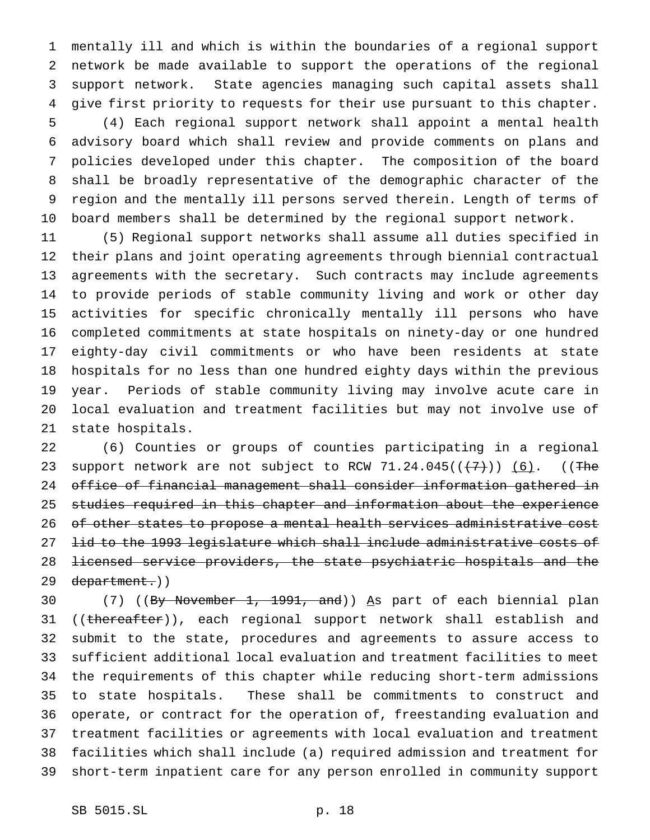mentally ill and which is within the boundaries of a regional support network be made available to support the operations of the regional support network. State agencies managing such capital assets shall give first priority to requests for their use pursuant to this chapter. (4) Each regional support network shall appoint a mental health advisory board which shall review and provide comments on plans and policies developed under this chapter. The composition of the board shall be broadly representative of the demographic character of the region and the mentally ill persons served therein. Length of terms of board members shall be determined by the regional support network.

 (5) Regional support networks shall assume all duties specified in their plans and joint operating agreements through biennial contractual agreements with the secretary. Such contracts may include agreements to provide periods of stable community living and work or other day activities for specific chronically mentally ill persons who have completed commitments at state hospitals on ninety-day or one hundred eighty-day civil commitments or who have been residents at state hospitals for no less than one hundred eighty days within the previous year. Periods of stable community living may involve acute care in local evaluation and treatment facilities but may not involve use of state hospitals.

 (6) Counties or groups of counties participating in a regional 23 support network are not subject to RCW  $71.24.045((\overline{7})\overline{7})$  ((The office of financial management shall consider information gathered in studies required in this chapter and information about the experience of other states to propose a mental health services administrative cost 27 <del>lid to the 1993 legislature which shall include administrative costs of</del> licensed service providers, the state psychiatric hospitals and the 29 department.))

30 (7) ((By November 1, 1991, and)) As part of each biennial plan 31 ((thereafter)), each regional support network shall establish and submit to the state, procedures and agreements to assure access to sufficient additional local evaluation and treatment facilities to meet the requirements of this chapter while reducing short-term admissions to state hospitals. These shall be commitments to construct and operate, or contract for the operation of, freestanding evaluation and treatment facilities or agreements with local evaluation and treatment facilities which shall include (a) required admission and treatment for short-term inpatient care for any person enrolled in community support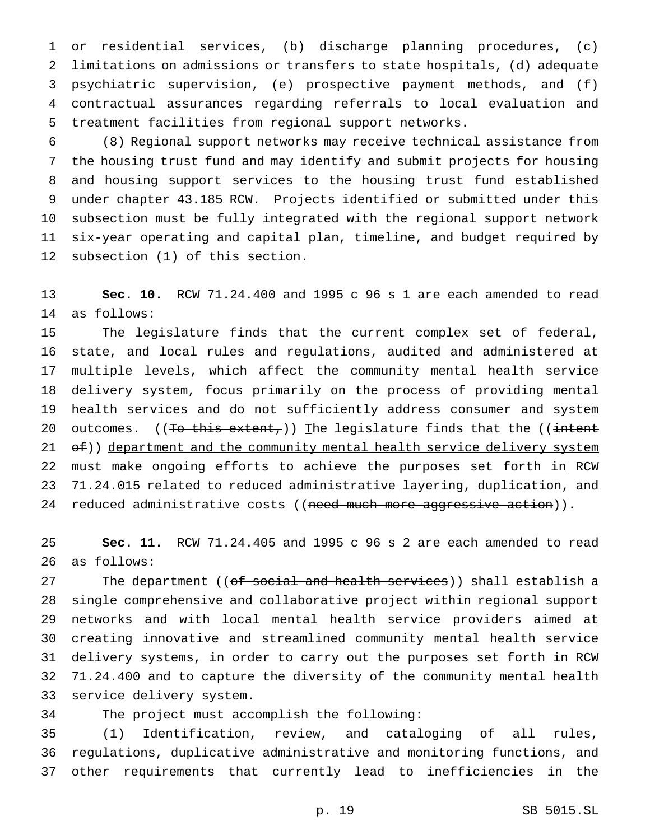or residential services, (b) discharge planning procedures, (c) limitations on admissions or transfers to state hospitals, (d) adequate psychiatric supervision, (e) prospective payment methods, and (f) contractual assurances regarding referrals to local evaluation and treatment facilities from regional support networks.

 (8) Regional support networks may receive technical assistance from the housing trust fund and may identify and submit projects for housing and housing support services to the housing trust fund established under chapter 43.185 RCW. Projects identified or submitted under this subsection must be fully integrated with the regional support network six-year operating and capital plan, timeline, and budget required by subsection (1) of this section.

 **Sec. 10.** RCW 71.24.400 and 1995 c 96 s 1 are each amended to read as follows:

 The legislature finds that the current complex set of federal, state, and local rules and regulations, audited and administered at multiple levels, which affect the community mental health service delivery system, focus primarily on the process of providing mental health services and do not sufficiently address consumer and system 20 outcomes.  $((To this extent) )$  The legislature finds that the  $((intent$ 21 of)) department and the community mental health service delivery system must make ongoing efforts to achieve the purposes set forth in RCW 71.24.015 related to reduced administrative layering, duplication, and 24 reduced administrative costs ((need much more aggressive action)).

 **Sec. 11.** RCW 71.24.405 and 1995 c 96 s 2 are each amended to read as follows:

27 The department ((<del>of social and health services</del>)) shall establish a single comprehensive and collaborative project within regional support networks and with local mental health service providers aimed at creating innovative and streamlined community mental health service delivery systems, in order to carry out the purposes set forth in RCW 71.24.400 and to capture the diversity of the community mental health service delivery system.

The project must accomplish the following:

 (1) Identification, review, and cataloging of all rules, regulations, duplicative administrative and monitoring functions, and other requirements that currently lead to inefficiencies in the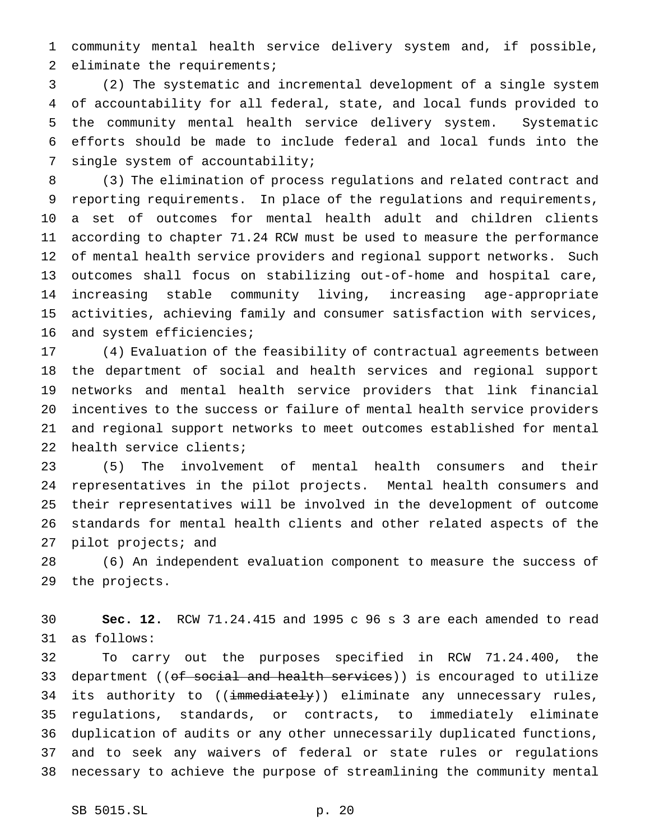community mental health service delivery system and, if possible, 2 eliminate the requirements;

 (2) The systematic and incremental development of a single system of accountability for all federal, state, and local funds provided to the community mental health service delivery system. Systematic efforts should be made to include federal and local funds into the single system of accountability;

 (3) The elimination of process regulations and related contract and reporting requirements. In place of the regulations and requirements, a set of outcomes for mental health adult and children clients according to chapter 71.24 RCW must be used to measure the performance of mental health service providers and regional support networks. Such outcomes shall focus on stabilizing out-of-home and hospital care, increasing stable community living, increasing age-appropriate activities, achieving family and consumer satisfaction with services, and system efficiencies;

 (4) Evaluation of the feasibility of contractual agreements between the department of social and health services and regional support networks and mental health service providers that link financial incentives to the success or failure of mental health service providers and regional support networks to meet outcomes established for mental health service clients;

 (5) The involvement of mental health consumers and their representatives in the pilot projects. Mental health consumers and their representatives will be involved in the development of outcome standards for mental health clients and other related aspects of the pilot projects; and

 (6) An independent evaluation component to measure the success of the projects.

 **Sec. 12.** RCW 71.24.415 and 1995 c 96 s 3 are each amended to read as follows:

 To carry out the purposes specified in RCW 71.24.400, the 33 department ((of social and health services)) is encouraged to utilize 34 its authority to ((immediately)) eliminate any unnecessary rules, regulations, standards, or contracts, to immediately eliminate duplication of audits or any other unnecessarily duplicated functions, and to seek any waivers of federal or state rules or regulations necessary to achieve the purpose of streamlining the community mental